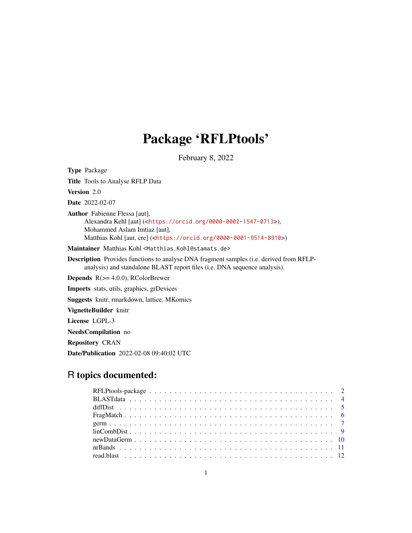# Package 'RFLPtools'

February 8, 2022

<span id="page-0-0"></span>

| <b>Type Package</b>                                                                                                                                                                                                                          |
|----------------------------------------------------------------------------------------------------------------------------------------------------------------------------------------------------------------------------------------------|
| <b>Title</b> Tools to Analyse RFLP Data                                                                                                                                                                                                      |
| <b>Version</b> 2.0                                                                                                                                                                                                                           |
| <b>Date</b> 2022-02-07                                                                                                                                                                                                                       |
| <b>Author</b> Fabienne Flessa [aut],<br>Alexandra Kehl [aut] ( <https: 0000-0002-1547-0713="" orcid.org="">),<br/>Mohammed Aslam Imtiaz [aut],<br/>Matthias Kohl [aut, cre] (<https: 0000-0001-9514-8910="" orcid.org="">)</https:></https:> |
| Maintainer Matthias Kohl <matthias.kohl@stamats.de></matthias.kohl@stamats.de>                                                                                                                                                               |
| <b>Description</b> Provides functions to analyse DNA fragment samples (i.e. derived from RFLP-<br>analysis) and standalone BLAST report files (i.e. DNA sequence analysis).                                                                  |
| <b>Depends</b> $R$ ( $> = 4.0.0$ ), RColorBrewer                                                                                                                                                                                             |
| <b>Imports</b> stats, utils, graphics, grDevices                                                                                                                                                                                             |
| <b>Suggests</b> knitr, rmarkdown, lattice, MKomics                                                                                                                                                                                           |
| VignetteBuilder knitr                                                                                                                                                                                                                        |
| License LGPL-3                                                                                                                                                                                                                               |
| <b>NeedsCompilation</b> no                                                                                                                                                                                                                   |
| <b>Repository CRAN</b>                                                                                                                                                                                                                       |
|                                                                                                                                                                                                                                              |

Date/Publication 2022-02-08 09:40:02 UTC

## R topics documented: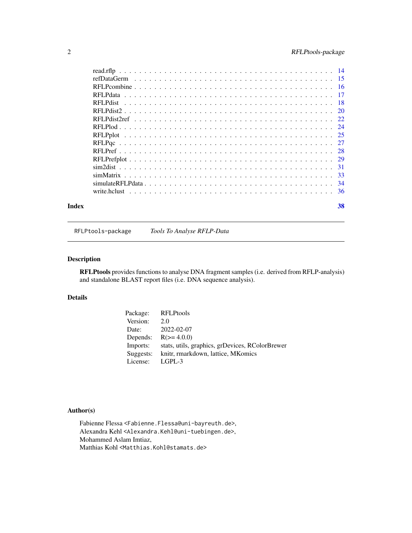<span id="page-1-0"></span>

|       | write.helust $\ldots$ $\ldots$ $\ldots$ $\ldots$ $\ldots$ $\ldots$ $\ldots$ $\ldots$ $\ldots$ $\ldots$ $\ldots$ $\ldots$ $\ldots$ $\ldots$ $\ldots$ 36 |    |
|-------|--------------------------------------------------------------------------------------------------------------------------------------------------------|----|
| Index |                                                                                                                                                        | 38 |

RFLPtools-package *Tools To Analyse RFLP-Data*

### Description

RFLPtools provides functions to analyse DNA fragment samples (i.e. derived from RFLP-analysis) and standalone BLAST report files (i.e. DNA sequence analysis).

### Details

| <b>RFLPtools</b>                                |
|-------------------------------------------------|
| 2.0                                             |
| 2022-02-07                                      |
| $R$ ( $> = 4.0.0$ )                             |
| stats, utils, graphics, grDevices, RColorBrewer |
| knitr, rmarkdown, lattice, MKomics              |
| LGPL-3                                          |
|                                                 |

## Author(s)

Fabienne Flessa <Fabienne.Flessa@uni-bayreuth.de>, Alexandra Kehl <Alexandra.Kehl@uni-tuebingen.de>, Mohammed Aslam Imtiaz, Matthias Kohl <Matthias.Kohl@stamats.de>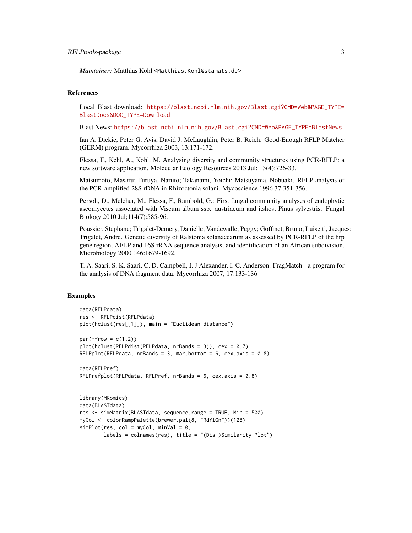### RFLPtools-package 3

*Maintainer: Matthias Kohl* <Matthias.Kohl@stamats.de>

### References

Local Blast download: [https://blast.ncbi.nlm.nih.gov/Blast.cgi?CMD=Web&PAGE\\_TYPE=](https://blast.ncbi.nlm.nih.gov/Blast.cgi?CMD=Web&PAGE_TYPE=BlastDocs&DOC_TYPE=Download) [BlastDocs&DOC\\_TYPE=Download](https://blast.ncbi.nlm.nih.gov/Blast.cgi?CMD=Web&PAGE_TYPE=BlastDocs&DOC_TYPE=Download)

Blast News: [https://blast.ncbi.nlm.nih.gov/Blast.cgi?CMD=Web&PAGE\\_TYPE=BlastNews](https://blast.ncbi.nlm.nih.gov/Blast.cgi?CMD=Web&PAGE_TYPE=BlastNews)

Ian A. Dickie, Peter G. Avis, David J. McLaughlin, Peter B. Reich. Good-Enough RFLP Matcher (GERM) program. Mycorrhiza 2003, 13:171-172.

Flessa, F., Kehl, A., Kohl, M. Analysing diversity and community structures using PCR-RFLP: a new software application. Molecular Ecology Resources 2013 Jul; 13(4):726-33.

Matsumoto, Masaru; Furuya, Naruto; Takanami, Yoichi; Matsuyama, Nobuaki. RFLP analysis of the PCR-amplified 28S rDNA in Rhizoctonia solani. Mycoscience 1996 37:351-356.

Persoh, D., Melcher, M., Flessa, F., Rambold, G.: First fungal community analyses of endophytic ascomycetes associated with Viscum album ssp. austriacum and itshost Pinus sylvestris. Fungal Biology 2010 Jul;114(7):585-96.

Poussier, Stephane; Trigalet-Demery, Danielle; Vandewalle, Peggy; Goffinet, Bruno; Luisetti, Jacques; Trigalet, Andre. Genetic diversity of Ralstonia solanacearum as assessed by PCR-RFLP of the hrp gene region, AFLP and 16S rRNA sequence analysis, and identification of an African subdivision. Microbiology 2000 146:1679-1692.

T. A. Saari, S. K. Saari, C. D. Campbell, I. J Alexander, I. C. Anderson. FragMatch - a program for the analysis of DNA fragment data. Mycorrhiza 2007, 17:133-136

```
data(RFLPdata)
res <- RFLPdist(RFLPdata)
plot(hclust(res[[1]]), main = "Euclidean distance")
par(mfrow = c(1,2))plot(hclust(RFLPdist(RFLPdata, nrBands = 3)), cex = 0.7)
RFLPplot(RFLPdata, nrBands = 3, mar.bottom = 6, cex.axis = 0.8)
data(RFLPref)
RFLPrefplot(RFLPdata, RFLPref, nrBands = 6, cex.axis = 0.8)
library(MKomics)
data(BLASTdata)
res <- simMatrix(BLASTdata, sequence.range = TRUE, Min = 500)
myCol <- colorRampPalette(brewer.pal(8, "RdYlGn"))(128)
simPlot(res, col = myCol, minVal = 0,
```

```
labels = colnames(res), title = "(Dis-)Similarity Plot")
```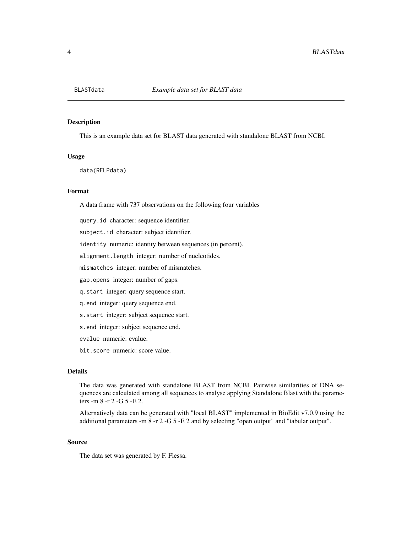<span id="page-3-1"></span><span id="page-3-0"></span>This is an example data set for BLAST data generated with standalone BLAST from NCBI.

#### Usage

data(RFLPdata)

### Format

A data frame with 737 observations on the following four variables

query.id character: sequence identifier.

subject.id character: subject identifier.

identity numeric: identity between sequences (in percent).

alignment.length integer: number of nucleotides.

mismatches integer: number of mismatches.

gap.opens integer: number of gaps.

q.start integer: query sequence start.

q.end integer: query sequence end.

s.start integer: subject sequence start.

s.end integer: subject sequence end.

evalue numeric: evalue.

bit.score numeric: score value.

### Details

The data was generated with standalone BLAST from NCBI. Pairwise similarities of DNA sequences are calculated among all sequences to analyse applying Standalone Blast with the parameters -m 8 -r 2 -G 5 -E 2.

Alternatively data can be generated with "local BLAST" implemented in BioEdit v7.0.9 using the additional parameters -m 8 -r 2 -G 5 -E 2 and by selecting "open output" and "tabular output".

### Source

The data set was generated by F. Flessa.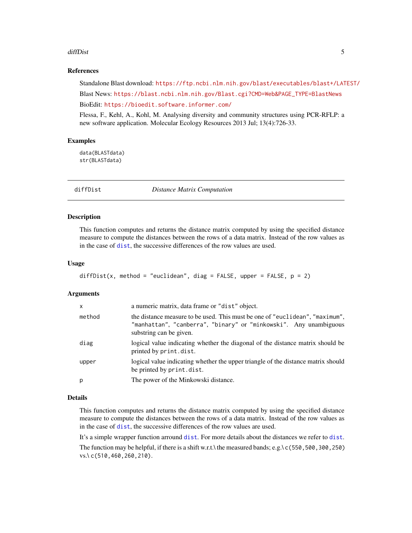#### <span id="page-4-0"></span>diffDist 5

### References

Standalone Blast download: <https://ftp.ncbi.nlm.nih.gov/blast/executables/blast+/LATEST/> Blast News: [https://blast.ncbi.nlm.nih.gov/Blast.cgi?CMD=Web&PAGE\\_TYPE=BlastNews](https://blast.ncbi.nlm.nih.gov/Blast.cgi?CMD=Web&PAGE_TYPE=BlastNews) BioEdit: <https://bioedit.software.informer.com/>

Flessa, F., Kehl, A., Kohl, M. Analysing diversity and community structures using PCR-RFLP: a new software application. Molecular Ecology Resources 2013 Jul; 13(4):726-33.

### Examples

data(BLASTdata) str(BLASTdata)

diffDist *Distance Matrix Computation*

### Description

This function computes and returns the distance matrix computed by using the specified distance measure to compute the distances between the rows of a data matrix. Instead of the row values as in the case of [dist](#page-0-0), the successive differences of the row values are used.

### Usage

```
diffDist(x, method = "euclidean", diag = FALSE, upper = FALSE, p = 2)
```
#### Arguments

| $\mathsf{x}$ | a numeric matrix, data frame or "dist" object.                                                                                                                               |
|--------------|------------------------------------------------------------------------------------------------------------------------------------------------------------------------------|
| method       | the distance measure to be used. This must be one of "euclidean", "maximum",<br>"manhattan", "canberra", "binary" or "minkowski". Any unambiguous<br>substring can be given. |
| diag         | logical value indicating whether the diagonal of the distance matrix should be<br>printed by print.dist.                                                                     |
| upper        | logical value indicating whether the upper triangle of the distance matrix should<br>be printed by print.dist.                                                               |
| p            | The power of the Minkowski distance.                                                                                                                                         |

#### Details

This function computes and returns the distance matrix computed by using the specified distance measure to compute the distances between the rows of a data matrix. Instead of the row values as in the case of [dist](#page-0-0), the successive differences of the row values are used.

It's a simple wrapper function arround [dist](#page-0-0). For more details about the distances we refer to [dist](#page-0-0).

The function may be helpful, if there is a shift w.r.t.\ the measured bands; e.g.\  $c(550,500,300,250)$ vs.\ c(510,460,260,210).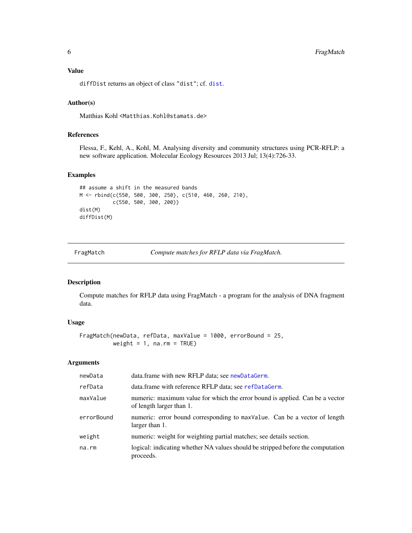<span id="page-5-0"></span>diffDist returns an object of class "dist"; cf. [dist](#page-0-0).

### Author(s)

Matthias Kohl <Matthias.Kohl@stamats.de>

### References

Flessa, F., Kehl, A., Kohl, M. Analysing diversity and community structures using PCR-RFLP: a new software application. Molecular Ecology Resources 2013 Jul; 13(4):726-33.

### Examples

```
## assume a shift in the measured bands
M <- rbind(c(550, 500, 300, 250), c(510, 460, 260, 210),
           c(550, 500, 300, 200))
dist(M)
diffDist(M)
```
FragMatch *Compute matches for RFLP data via FragMatch.*

### Description

Compute matches for RFLP data using FragMatch - a program for the analysis of DNA fragment data.

### Usage

```
FragMatch(newData, refData, maxValue = 1000, errorBound = 25,
         weight = 1, na.rm = TRUE)
```
### Arguments

| newData    | data.frame with new RFLP data; see newDataGerm.                                                          |
|------------|----------------------------------------------------------------------------------------------------------|
| refData    | data.frame with reference RFLP data; see refDataGerm.                                                    |
| maxValue   | numeric: maximum value for which the error bound is applied. Can be a vector<br>of length larger than 1. |
| errorBound | numeric: error bound corresponding to maxValue. Can be a vector of length<br>larger than 1.              |
| weight     | numeric: weight for weighting partial matches; see details section.                                      |
| na.rm      | logical: indicating whether NA values should be stripped before the computation<br>proceeds.             |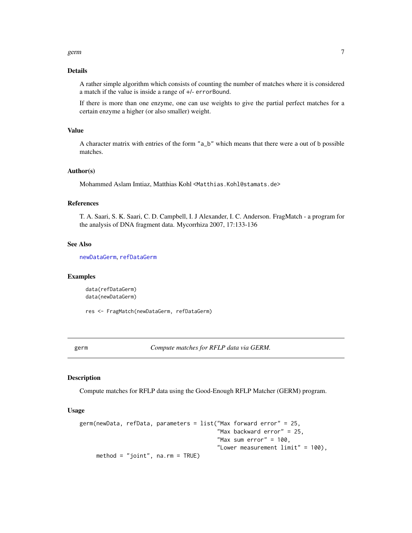#### <span id="page-6-0"></span> $g$ erm  $\sim$  7

#### Details

A rather simple algorithm which consists of counting the number of matches where it is considered a match if the value is inside a range of +/- errorBound.

If there is more than one enzyme, one can use weights to give the partial perfect matches for a certain enzyme a higher (or also smaller) weight.

### Value

A character matrix with entries of the form "a\_b" which means that there were a out of b possible matches.

### Author(s)

Mohammed Aslam Imtiaz, Matthias Kohl <Matthias.Kohl@stamats.de>

### References

T. A. Saari, S. K. Saari, C. D. Campbell, I. J Alexander, I. C. Anderson. FragMatch - a program for the analysis of DNA fragment data. Mycorrhiza 2007, 17:133-136

### See Also

[newDataGerm](#page-9-1), [refDataGerm](#page-14-1)

### Examples

data(refDataGerm) data(newDataGerm)

res <- FragMatch(newDataGerm, refDataGerm)

germ *Compute matches for RFLP data via GERM.*

#### Description

Compute matches for RFLP data using the Good-Enough RFLP Matcher (GERM) program.

#### Usage

```
germ(newData, refData, parameters = list("Max forward error" = 25,
                                         "Max backward error" = 25,
                                         "Max sum error" = 100,
                                         "Lower measurement limit" = 100),
     method = "joint", na.rm = TRUE)
```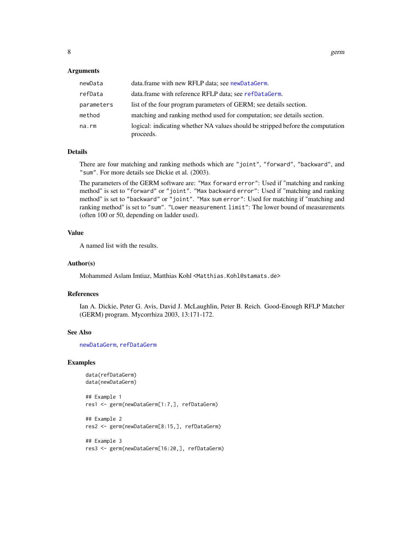#### <span id="page-7-0"></span>**Arguments**

| newData    | data.frame with new RFLP data; see newDataGerm.                                              |
|------------|----------------------------------------------------------------------------------------------|
| refData    | data.frame with reference RFLP data; see refDataGerm.                                        |
| parameters | list of the four program parameters of GERM; see details section.                            |
| method     | matching and ranking method used for computation; see details section.                       |
| na.rm      | logical: indicating whether NA values should be stripped before the computation<br>proceeds. |

#### Details

There are four matching and ranking methods which are "joint", "forward", "backward", and "sum". For more details see Dickie et al. (2003).

The parameters of the GERM software are: "Max forward error": Used if "matching and ranking method" is set to "forward" or "joint". "Max backward error": Used if "matching and ranking method" is set to "backward" or "joint". "Max sum error": Used for matching if "matching and ranking method" is set to "sum". "Lower measurement limit": The lower bound of measurements (often 100 or 50, depending on ladder used).

### Value

A named list with the results.

### Author(s)

Mohammed Aslam Imtiaz, Matthias Kohl <Matthias.Kohl@stamats.de>

### References

Ian A. Dickie, Peter G. Avis, David J. McLaughlin, Peter B. Reich. Good-Enough RFLP Matcher (GERM) program. Mycorrhiza 2003, 13:171-172.

### See Also

[newDataGerm](#page-9-1), [refDataGerm](#page-14-1)

```
data(refDataGerm)
data(newDataGerm)
```

```
## Example 1
res1 <- germ(newDataGerm[1:7,], refDataGerm)
```

```
## Example 2
res2 <- germ(newDataGerm[8:15,], refDataGerm)
```

```
## Example 3
res3 <- germ(newDataGerm[16:20,], refDataGerm)
```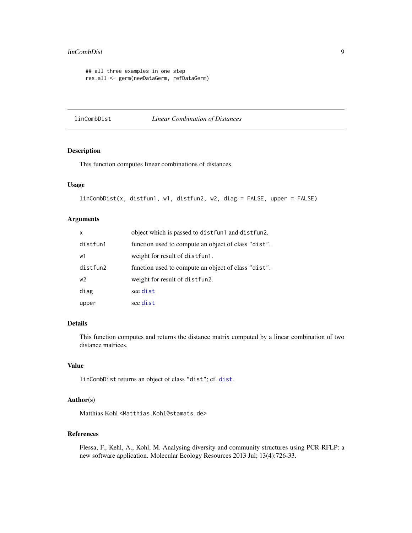#### <span id="page-8-0"></span>linCombDist 9

## all three examples in one step res.all <- germ(newDataGerm, refDataGerm)

linCombDist *Linear Combination of Distances*

#### Description

This function computes linear combinations of distances.

### Usage

linCombDist(x, distfun1, w1, distfun2, w2, diag = FALSE, upper = FALSE)

### Arguments

| $\mathsf{x}$   | object which is passed to distfun1 and distfun2.    |
|----------------|-----------------------------------------------------|
| distfun1       | function used to compute an object of class "dist". |
| w1             | weight for result of distfun1.                      |
| distfun2       | function used to compute an object of class "dist". |
| w <sub>2</sub> | weight for result of distfun2.                      |
| diag           | see dist                                            |
| upper          | see dist                                            |

#### Details

This function computes and returns the distance matrix computed by a linear combination of two distance matrices.

### Value

linCombDist returns an object of class "dist"; cf. [dist](#page-0-0).

### Author(s)

Matthias Kohl <Matthias.Kohl@stamats.de>

### References

Flessa, F., Kehl, A., Kohl, M. Analysing diversity and community structures using PCR-RFLP: a new software application. Molecular Ecology Resources 2013 Jul; 13(4):726-33.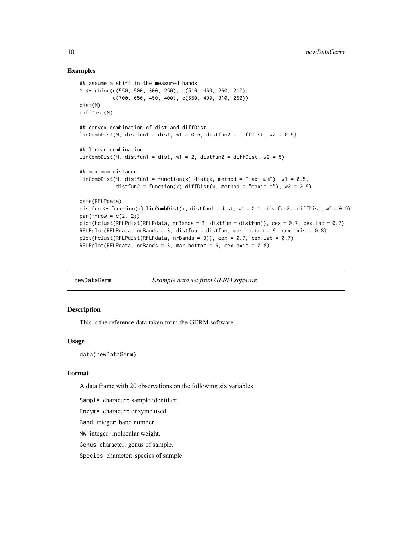#### Examples

```
## assume a shift in the measured bands
M <- rbind(c(550, 500, 300, 250), c(510, 460, 260, 210),
           c(700, 650, 450, 400), c(550, 490, 310, 250))
dist(M)
diffDist(M)
## convex combination of dist and diffDist
linCombDist(M, distfun1 = dist, w1 = 0.5, distfun2 = diffDist, w2 = 0.5)## linear combination
linCombDist(M, distfun1 = dist, w1 = 2, distfun2 = diffDist, w2 = 5)## maximum distance
linCombDist(M, distfun1 = function(x) dist(x, method = "maximum"), w1 = 0.5,distfun2 = function(x) diffDist(x, method = "maximum"), w2 = 0.5)
data(RFLPdata)
distfun <- function(x) linCombDist(x, distfun1 = dist, w1 = 0.1, distfun2 = diffDist, w2 = 0.9)
par(mfrow = c(2, 2))plot(hclust(RFLPdist(RFLPdata, nrBands = 3, distfun = distfun)), cex = 0.7, cex.lab = 0.7)
RFLPplot(RFLPdata, nrBands = 3, distfun = distfun, mar.bottom = 6, cex.axis = 0.8)
plot(hclust(RFLPdist(RFLPdata, nrBands = 3)), cex = 0.7, cex.lab = 0.7)RFLPplot(RFLPdata, nrBands = 3, mar.bottom = 6, cex.axis = 0.8)
```
<span id="page-9-1"></span>

| newDataGerm | Example data set from GERM software |  |
|-------------|-------------------------------------|--|
|             |                                     |  |

### Description

This is the reference data taken from the GERM software.

#### Usage

data(newDataGerm)

### Format

A data frame with 20 observations on the following six variables

Sample character: sample identifier.

Enzyme character: enzyme used.

Band integer: band number.

MW integer: molecular weight.

Genus character: genus of sample.

Species character: species of sample.

<span id="page-9-0"></span>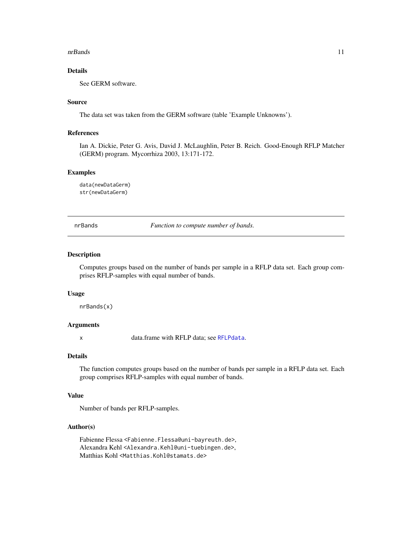#### <span id="page-10-0"></span>nrBands 11

## Details

See GERM software.

### Source

The data set was taken from the GERM software (table 'Example Unknowns').

### References

Ian A. Dickie, Peter G. Avis, David J. McLaughlin, Peter B. Reich. Good-Enough RFLP Matcher (GERM) program. Mycorrhiza 2003, 13:171-172.

#### Examples

data(newDataGerm) str(newDataGerm)

<span id="page-10-1"></span>nrBands *Function to compute number of bands.*

### Description

Computes groups based on the number of bands per sample in a RFLP data set. Each group comprises RFLP-samples with equal number of bands.

#### Usage

nrBands(x)

### Arguments

x data.frame with RFLP data; see [RFLPdata](#page-16-1).

#### Details

The function computes groups based on the number of bands per sample in a RFLP data set. Each group comprises RFLP-samples with equal number of bands.

#### Value

Number of bands per RFLP-samples.

#### Author(s)

Fabienne Flessa <Fabienne.Flessa@uni-bayreuth.de>, Alexandra Kehl <Alexandra.Kehl@uni-tuebingen.de>, Matthias Kohl <Matthias.Kohl@stamats.de>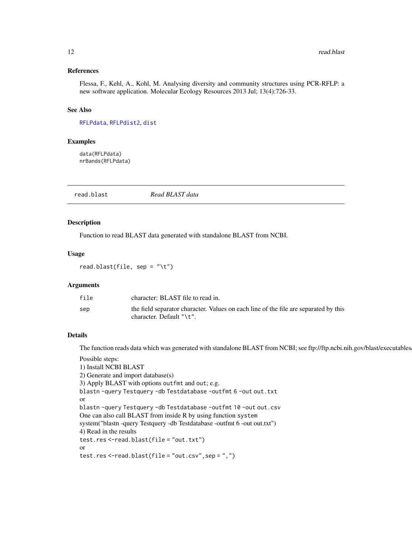#### <span id="page-11-0"></span>References

Flessa, F., Kehl, A., Kohl, M. Analysing diversity and community structures using PCR-RFLP: a new software application. Molecular Ecology Resources 2013 Jul; 13(4):726-33.

#### See Also

[RFLPdata](#page-16-1), [RFLPdist2](#page-19-1), [dist](#page-0-0)

### Examples

data(RFLPdata) nrBands(RFLPdata)

read.blast *Read BLAST data*

### Description

Function to read BLAST data generated with standalone BLAST from NCBI.

#### Usage

read.blast(file, sep =  $"\t t")$ 

#### Arguments

| file | character: BLAST file to read in.                                                                                |
|------|------------------------------------------------------------------------------------------------------------------|
| sep  | the field separator character. Values on each line of the file are separated by this<br>character. Default "\t". |

#### Details

The function reads data which was generated with standalone BLAST from NCBI; see ftp://ftp.ncbi.nih.gov/blast/executables

Possible steps: 1) Install NCBI BLAST 2) Generate and import database(s) 3) Apply BLAST with options outfmt and out; e.g. blastn-query Testquery-db Testdatabase-outfmt 6-out out.txt or blastn -query Testquery -db Testdatabase -outfmt 10 -out out.csv One can also call BLAST from inside R by using function system system("blastn -query Testquery -db Testdatabase -outfmt 6 -out out.txt") 4) Read in the results test.res <-read.blast(file = "out.txt") or test.res <-read.blast(file = "out.csv",sep = ",")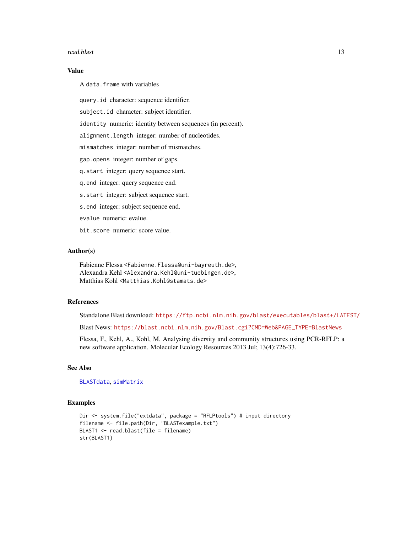#### <span id="page-12-0"></span>read.blast 13

#### Value

A data.frame with variables

query.id character: sequence identifier.

subject.id character: subject identifier.

identity numeric: identity between sequences (in percent).

alignment.length integer: number of nucleotides.

mismatches integer: number of mismatches.

gap.opens integer: number of gaps.

q.start integer: query sequence start.

q.end integer: query sequence end.

s.start integer: subject sequence start.

s.end integer: subject sequence end.

evalue numeric: evalue.

bit.score numeric: score value.

### Author(s)

Fabienne Flessa <Fabienne.Flessa@uni-bayreuth.de>, Alexandra Kehl <Alexandra.Kehl@uni-tuebingen.de>, Matthias Kohl <Matthias.Kohl@stamats.de>

#### References

Standalone Blast download: <https://ftp.ncbi.nlm.nih.gov/blast/executables/blast+/LATEST/>

Blast News: [https://blast.ncbi.nlm.nih.gov/Blast.cgi?CMD=Web&PAGE\\_TYPE=BlastNews](https://blast.ncbi.nlm.nih.gov/Blast.cgi?CMD=Web&PAGE_TYPE=BlastNews)

Flessa, F., Kehl, A., Kohl, M. Analysing diversity and community structures using PCR-RFLP: a new software application. Molecular Ecology Resources 2013 Jul; 13(4):726-33.

#### See Also

[BLASTdata](#page-3-1), [simMatrix](#page-32-1)

```
Dir <- system.file("extdata", package = "RFLPtools") # input directory
filename <- file.path(Dir, "BLASTexample.txt")
BLAST1 <- read.blast(file = filename)
str(BLAST1)
```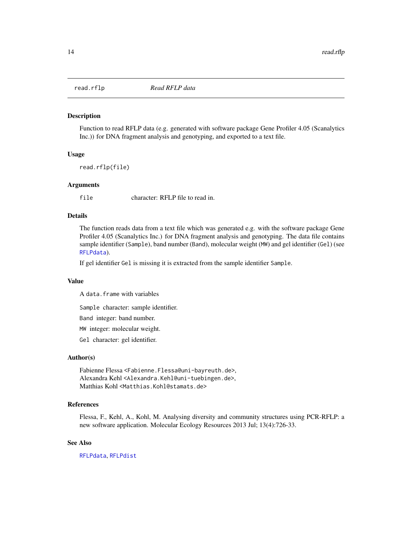<span id="page-13-0"></span>

Function to read RFLP data (e.g. generated with software package Gene Profiler 4.05 (Scanalytics Inc.)) for DNA fragment analysis and genotyping, and exported to a text file.

#### Usage

read.rflp(file)

### Arguments

file character: RFLP file to read in.

### Details

The function reads data from a text file which was generated e.g. with the software package Gene Profiler 4.05 (Scanalytics Inc.) for DNA fragment analysis and genotyping. The data file contains sample identifier (Sample), band number (Band), molecular weight (MW) and gel identifier (Gel) (see [RFLPdata](#page-16-1)).

If gel identifier Gel is missing it is extracted from the sample identifier Sample.

#### Value

A data.frame with variables

Sample character: sample identifier.

Band integer: band number.

MW integer: molecular weight.

Gel character: gel identifier.

### Author(s)

Fabienne Flessa <Fabienne.Flessa@uni-bayreuth.de>, Alexandra Kehl <Alexandra.Kehl@uni-tuebingen.de>, Matthias Kohl <Matthias.Kohl@stamats.de>

#### References

Flessa, F., Kehl, A., Kohl, M. Analysing diversity and community structures using PCR-RFLP: a new software application. Molecular Ecology Resources 2013 Jul; 13(4):726-33.

### See Also

[RFLPdata](#page-16-1), [RFLPdist](#page-17-1)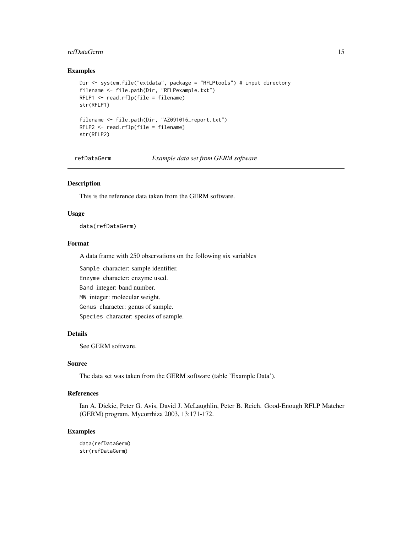#### <span id="page-14-0"></span>refDataGerm 15

#### Examples

```
Dir <- system.file("extdata", package = "RFLPtools") # input directory
filename <- file.path(Dir, "RFLPexample.txt")
RFLP1 <- read.rflp(file = filename)
str(RFLP1)
filename <- file.path(Dir, "AZ091016_report.txt")
RFLP2 <- read.rflp(file = filename)
str(RFLP2)
```
<span id="page-14-1"></span>refDataGerm *Example data set from GERM software*

### Description

This is the reference data taken from the GERM software.

#### Usage

data(refDataGerm)

### Format

A data frame with 250 observations on the following six variables

Sample character: sample identifier.

Enzyme character: enzyme used.

Band integer: band number.

MW integer: molecular weight.

Genus character: genus of sample.

Species character: species of sample.

### Details

See GERM software.

#### Source

The data set was taken from the GERM software (table 'Example Data').

### References

Ian A. Dickie, Peter G. Avis, David J. McLaughlin, Peter B. Reich. Good-Enough RFLP Matcher (GERM) program. Mycorrhiza 2003, 13:171-172.

### Examples

data(refDataGerm) str(refDataGerm)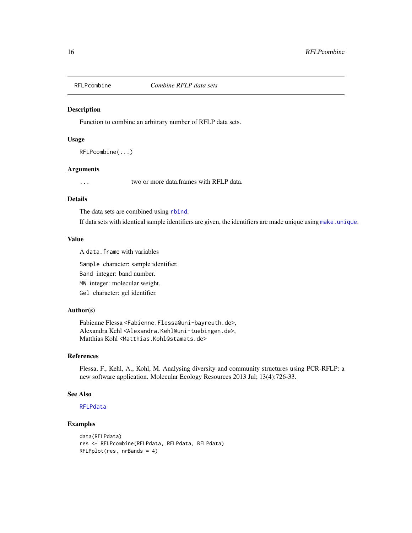<span id="page-15-0"></span>

Function to combine an arbitrary number of RFLP data sets.

### Usage

RFLPcombine(...)

### Arguments

... two or more data.frames with RFLP data.

#### Details

The data sets are combined using [rbind](#page-0-0).

If data sets with identical sample identifiers are given, the identifiers are made unique using [make.unique](#page-0-0).

#### Value

A data.frame with variables

Sample character: sample identifier.

Band integer: band number.

MW integer: molecular weight.

Gel character: gel identifier.

#### Author(s)

Fabienne Flessa <Fabienne.Flessa@uni-bayreuth.de>, Alexandra Kehl <Alexandra.Kehl@uni-tuebingen.de>, Matthias Kohl <Matthias.Kohl@stamats.de>

### References

Flessa, F., Kehl, A., Kohl, M. Analysing diversity and community structures using PCR-RFLP: a new software application. Molecular Ecology Resources 2013 Jul; 13(4):726-33.

#### See Also

[RFLPdata](#page-16-1)

```
data(RFLPdata)
res <- RFLPcombine(RFLPdata, RFLPdata, RFLPdata)
RFLPplot(res, nrBands = 4)
```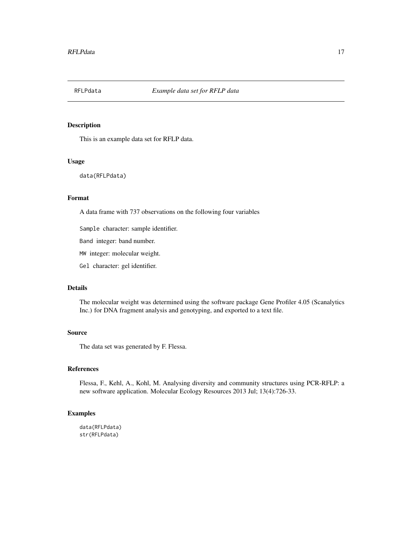<span id="page-16-1"></span><span id="page-16-0"></span>

This is an example data set for RFLP data.

#### Usage

data(RFLPdata)

### Format

A data frame with 737 observations on the following four variables

Sample character: sample identifier.

Band integer: band number.

MW integer: molecular weight.

Gel character: gel identifier.

#### Details

The molecular weight was determined using the software package Gene Profiler 4.05 (Scanalytics Inc.) for DNA fragment analysis and genotyping, and exported to a text file.

### Source

The data set was generated by F. Flessa.

### References

Flessa, F., Kehl, A., Kohl, M. Analysing diversity and community structures using PCR-RFLP: a new software application. Molecular Ecology Resources 2013 Jul; 13(4):726-33.

#### Examples

data(RFLPdata) str(RFLPdata)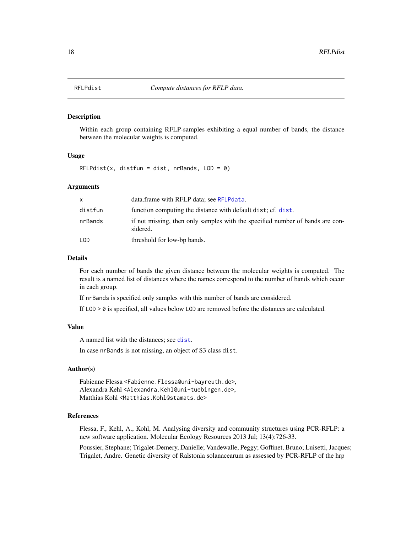<span id="page-17-1"></span><span id="page-17-0"></span>

Within each group containing RFLP-samples exhibiting a equal number of bands, the distance between the molecular weights is computed.

#### Usage

 $RFLPdist(x, distfun = dist, nrBands, LOD = 0)$ 

#### Arguments

| x       | data.frame with RFLP data; see RFLPdata.                                                  |
|---------|-------------------------------------------------------------------------------------------|
| distfun | function computing the distance with default dist; cf. dist.                              |
| nrBands | if not missing, then only samples with the specified number of bands are con-<br>sidered. |
| LOD     | threshold for low-bp bands.                                                               |

#### Details

For each number of bands the given distance between the molecular weights is computed. The result is a named list of distances where the names correspond to the number of bands which occur in each group.

If nrBands is specified only samples with this number of bands are considered.

If LOD > 0 is specified, all values below LOD are removed before the distances are calculated.

#### Value

A named list with the distances; see [dist](#page-0-0).

In case nrBands is not missing, an object of S3 class dist.

#### Author(s)

Fabienne Flessa <Fabienne.Flessa@uni-bayreuth.de>, Alexandra Kehl <Alexandra.Kehl@uni-tuebingen.de>, Matthias Kohl <Matthias.Kohl@stamats.de>

### References

Flessa, F., Kehl, A., Kohl, M. Analysing diversity and community structures using PCR-RFLP: a new software application. Molecular Ecology Resources 2013 Jul; 13(4):726-33.

Poussier, Stephane; Trigalet-Demery, Danielle; Vandewalle, Peggy; Goffinet, Bruno; Luisetti, Jacques; Trigalet, Andre. Genetic diversity of Ralstonia solanacearum as assessed by PCR-RFLP of the hrp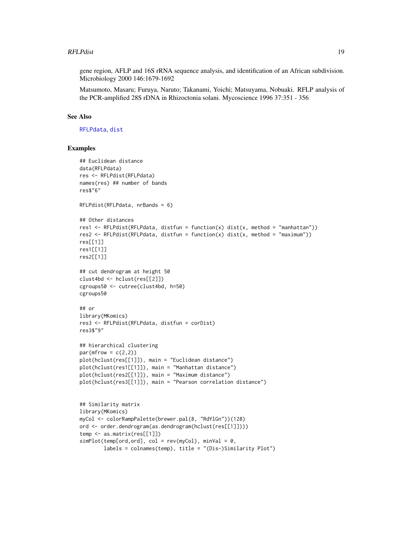#### RFLPdist 19

gene region, AFLP and 16S rRNA sequence analysis, and identification of an African subdivision. Microbiology 2000 146:1679-1692

Matsumoto, Masaru; Furuya, Naruto; Takanami, Yoichi; Matsuyama, Nobuaki. RFLP analysis of the PCR-amplified 28S rDNA in Rhizoctonia solani. Mycoscience 1996 37:351 - 356

#### See Also

[RFLPdata](#page-16-1), [dist](#page-0-0)

```
## Euclidean distance
data(RFLPdata)
res <- RFLPdist(RFLPdata)
names(res) ## number of bands
res$"6"
RFLPdist(RFLPdata, nrBands = 6)
## Other distances
res1 <- RFLPdist(RFLPdata, distfun = function(x) dist(x, method = "manhattan"))
res2 <- RFLPdist(RFLPdata, distfun = function(x) dist(x, method = "maximum"))
res[[1]]
res1[[1]]
res2[[1]]
## cut dendrogram at height 50
clust4bd <- hclust(res[[2]])
cgroups50 <- cutree(clust4bd, h=50)
cgroups50
## or
library(MKomics)
res3 <- RFLPdist(RFLPdata, distfun = corDist)
res3$"9"
## hierarchical clustering
par(mfrow = c(2,2))plot(hclust(res[[1]]), main = "Euclidean distance")
plot(hclust(res1[[1]]), main = "Manhattan distance")
plot(hclust(res2[[1]]), main = "Maximum distance")
plot(hclust(res3[[1]]), main = "Pearson correlation distance")
## Similarity matrix
library(MKomics)
myCol <- colorRampPalette(brewer.pal(8, "RdYlGn"))(128)
ord <- order.dendrogram(as.dendrogram(hclust(res[[1]])))
temp <- as.matrix(res[[1]])
simPlot(temp[ord,ord], col = rev(myCol), minVal = 0,labels = colnames(temp), title = "(Dis-)Similarity Plot")
```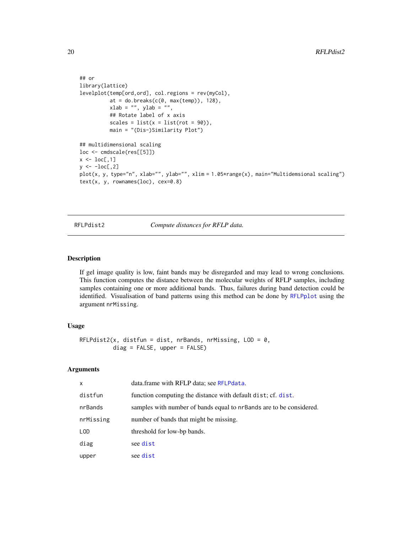```
## or
library(lattice)
levelplot(temp[ord,ord], col.regions = rev(myCol),
          at = do.breaks(c(0, maxtemp)), 128),xlab = "", ylab = "",
          ## Rotate label of x axis
          scales = list(x = list(root = 90)),main = "(Dis-)Similarity Plot")
## multidimensional scaling
loc <- cmdscale(res[[5]])
x \leftarrow \text{loc}[, 1]y \leftarrow -\text{loc}[, 2]plot(x, y, type="n", xlab="", ylab="", xlim = 1.05*range(x), main="Multidemsional scaling")
text(x, y, rownames(loc), cex=0.8)
```
RFLPdist2 *Compute distances for RFLP data.*

### Description

If gel image quality is low, faint bands may be disregarded and may lead to wrong conclusions. This function computes the distance between the molecular weights of RFLP samples, including samples containing one or more additional bands. Thus, failures during band detection could be identified. Visualisation of band patterns using this method can be done by [RFLPplot](#page-24-1) using the argument nrMissing.

### Usage

```
RFLPdist2(x, distfun = dist, nrBands, nrMissing, LOD = 0,
          diag = FALSE, upper = FALSE)
```
#### Arguments

| X         | data.frame with RFLP data; see RFLPdata.                             |
|-----------|----------------------------------------------------------------------|
| distfun   | function computing the distance with default dist; cf. dist.         |
| nrBands   | samples with number of bands equal to nr Bands are to be considered. |
| nrMissing | number of bands that might be missing.                               |
| LOD       | threshold for low-bp bands.                                          |
| diag      | see dist                                                             |
| upper     | see dist                                                             |

<span id="page-19-0"></span>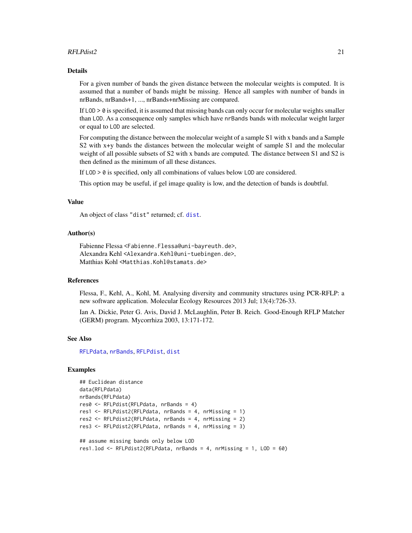#### <span id="page-20-0"></span>RFLPdist2 21

#### Details

For a given number of bands the given distance between the molecular weights is computed. It is assumed that a number of bands might be missing. Hence all samples with number of bands in nrBands, nrBands+1, ..., nrBands+nrMissing are compared.

If LOD > 0 is specified, it is assumed that missing bands can only occur for molecular weights smaller than LOD. As a consequence only samples which have nrBands bands with molecular weight larger or equal to LOD are selected.

For computing the distance between the molecular weight of a sample S1 with x bands and a Sample S2 with x+y bands the distances between the molecular weight of sample S1 and the molecular weight of all possible subsets of S2 with x bands are computed. The distance between S1 and S2 is then defined as the minimum of all these distances.

If  $LOD > 0$  is specified, only all combinations of values below  $LOD$  are considered.

This option may be useful, if gel image quality is low, and the detection of bands is doubtful.

#### Value

An object of class "[dist](#page-0-0)" returned; cf. dist.

### Author(s)

Fabienne Flessa <Fabienne.Flessa@uni-bayreuth.de>, Alexandra Kehl <Alexandra.Kehl@uni-tuebingen.de>, Matthias Kohl <Matthias.Kohl@stamats.de>

#### References

Flessa, F., Kehl, A., Kohl, M. Analysing diversity and community structures using PCR-RFLP: a new software application. Molecular Ecology Resources 2013 Jul; 13(4):726-33.

Ian A. Dickie, Peter G. Avis, David J. McLaughlin, Peter B. Reich. Good-Enough RFLP Matcher (GERM) program. Mycorrhiza 2003, 13:171-172.

#### See Also

[RFLPdata](#page-16-1), [nrBands](#page-10-1), [RFLPdist](#page-17-1), [dist](#page-0-0)

```
## Euclidean distance
data(RFLPdata)
nrBands(RFLPdata)
res0 <- RFLPdist(RFLPdata, nrBands = 4)
res1 <- RFLPdist2(RFLPdata, nrBands = 4, nrMissing = 1)
res2 <- RFLPdist2(RFLPdata, nrBands = 4, nrMissing = 2)
res3 <- RFLPdist2(RFLPdata, nrBands = 4, nrMissing = 3)
## assume missing bands only below LOD
res1.lod <- RFLPdist2(RFLPdata, nrBands = 4, nrMissing = 1, LOD = 60)
```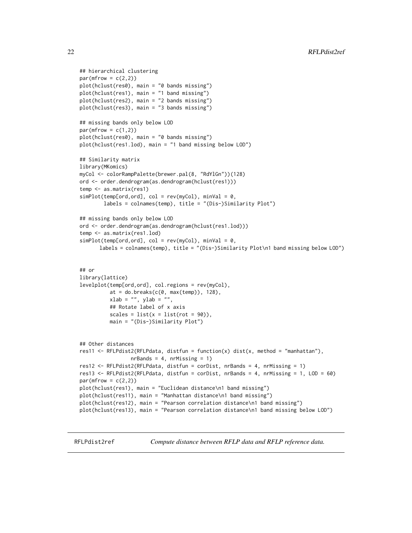```
## hierarchical clustering
par(mfrow = c(2,2))plot(hclust(res0), main = "0 bands missing")
plot(hclust(res1), main = "1 band missing")
plot(hclust(res2), main = "2 bands missing")
plot(hclust(res3), main = "3 bands missing")
## missing bands only below LOD
par(mfrow = c(1,2))plot(hclust(res0), main = "0 bands missing")
plot(hclust(res1.lod), main = "1 band missing below LOD")
## Similarity matrix
library(MKomics)
myCol <- colorRampPalette(brewer.pal(8, "RdYlGn"))(128)
ord <- order.dendrogram(as.dendrogram(hclust(res1)))
temp <- as.matrix(res1)
simPlot(temp[ord,ord], col = rev(myCol), minVal = 0,labels = colnames(temp), title = "(Dis-)Similarity Plot")
## missing bands only below LOD
ord <- order.dendrogram(as.dendrogram(hclust(res1.lod)))
temp <- as.matrix(res1.lod)
simPlot(temp[ord,ord], col = rev(myCol), minVal = 0,labels = colnames(temp), title = "(Dis-)Similarity Plot\n1 band missing below LOD")
## or
library(lattice)
levelplot(temp[ord,ord], col.regions = rev(myCol),
         at = do.breaks(c(0, max(temp)), 128),xlab = "", ylab = "",## Rotate label of x axis
         scales = list(x = list(root = 90)),main = "(Dis-)Similarity Plot")
## Other distances
res11 <- RFLPdist2(RFLPdata, distfun = function(x) dist(x, method = "manhattan"),
                 nrBands = 4, nrMissing = 1)
res12 <- RFLPdist2(RFLPdata, distfun = corDist, nrBands = 4, nrMissing = 1)
res13 <- RFLPdist2(RFLPdata, distfun = corDist, nrBands = 4, nrMissing = 1, LOD = 60)
par(mfrow = c(2,2))plot(hclust(res1), main = "Euclidean distance\n1 band missing")
plot(hclust(res11), main = "Manhattan distance\n1 band missing")
plot(hclust(res12), main = "Pearson correlation distance\n1 band missing")
plot(hclust(res13), main = "Pearson correlation distance\n1 band missing below LOD")
```
RFLPdist2ref *Compute distance between RFLP data and RFLP reference data.*

<span id="page-21-0"></span>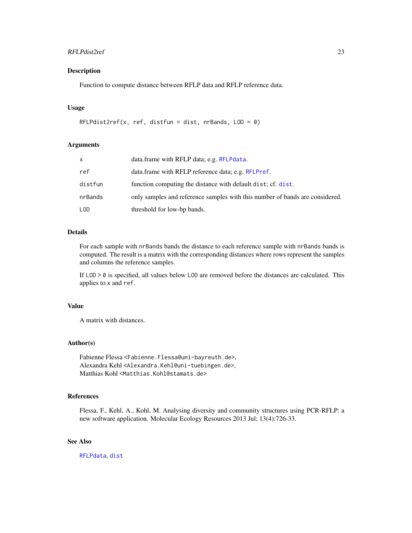### <span id="page-22-0"></span>RFLPdist2ref 23

### Description

Function to compute distance between RFLP data and RFLP reference data.

#### Usage

```
RFLPdist2ref(x, ref, distfun = dist, nrBands, LOD = 0)
```
### Arguments

| x       | data.frame with RFLP data; e.g. RFLPdata.                                    |
|---------|------------------------------------------------------------------------------|
| ref     | data.frame with RFLP reference data; e.g. RFLPref.                           |
| distfun | function computing the distance with default dist; cf. dist.                 |
| nrBands | only samples and reference samples with this number of bands are considered. |
| LOD     | threshold for low-bp bands.                                                  |

### Details

For each sample with nrBands bands the distance to each reference sample with nrBands bands is computed. The result is a matrix with the corresponding distances where rows represent the samples and columns the reference samples.

If LOD > 0 is specified, all values below LOD are removed before the distances are calculated. This applies to x and ref.

#### Value

A matrix with distances.

### Author(s)

Fabienne Flessa <Fabienne.Flessa@uni-bayreuth.de>, Alexandra Kehl <Alexandra.Kehl@uni-tuebingen.de>, Matthias Kohl <Matthias.Kohl@stamats.de>

### References

Flessa, F., Kehl, A., Kohl, M. Analysing diversity and community structures using PCR-RFLP: a new software application. Molecular Ecology Resources 2013 Jul; 13(4):726-33.

### See Also

[RFLPdata](#page-16-1), [dist](#page-0-0)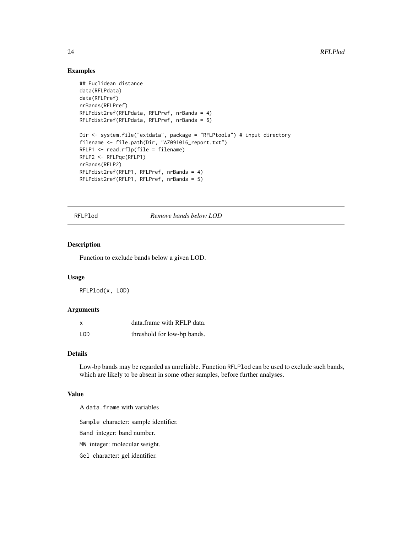### Examples

```
## Euclidean distance
data(RFLPdata)
data(RFLPref)
nrBands(RFLPref)
RFLPdist2ref(RFLPdata, RFLPref, nrBands = 4)
RFLPdist2ref(RFLPdata, RFLPref, nrBands = 6)
Dir <- system.file("extdata", package = "RFLPtools") # input directory
filename <- file.path(Dir, "AZ091016_report.txt")
RFLP1 <- read.rflp(file = filename)
RFLP2 <- RFLPqc(RFLP1)
nrBands(RFLP2)
RFLPdist2ref(RFLP1, RFLPref, nrBands = 4)
RFLPdist2ref(RFLP1, RFLPref, nrBands = 5)
```
RFLPlod *Remove bands below LOD*

### Description

Function to exclude bands below a given LOD.

### Usage

RFLPlod(x, LOD)

#### Arguments

| x   | data.frame with RFLP data.  |
|-----|-----------------------------|
| LOD | threshold for low-bp bands. |

#### Details

Low-bp bands may be regarded as unreliable. Function RFLPlod can be used to exclude such bands, which are likely to be absent in some other samples, before further analyses.

#### Value

A data.frame with variables

Sample character: sample identifier.

Band integer: band number.

MW integer: molecular weight.

Gel character: gel identifier.

<span id="page-23-0"></span>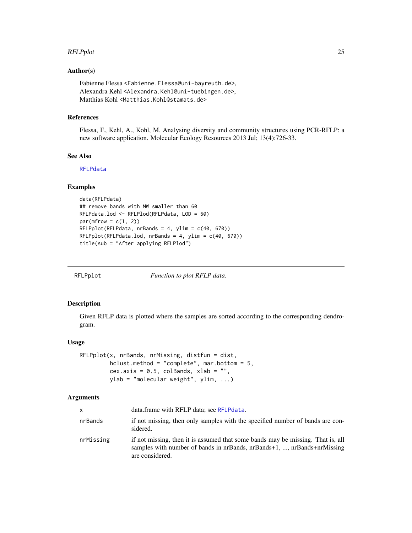#### <span id="page-24-0"></span>RFLPplot 25

#### Author(s)

Fabienne Flessa <Fabienne.Flessa@uni-bayreuth.de>, Alexandra Kehl <Alexandra.Kehl@uni-tuebingen.de>, Matthias Kohl <Matthias.Kohl@stamats.de>

#### References

Flessa, F., Kehl, A., Kohl, M. Analysing diversity and community structures using PCR-RFLP: a new software application. Molecular Ecology Resources 2013 Jul; 13(4):726-33.

#### See Also

[RFLPdata](#page-16-1)

### Examples

```
data(RFLPdata)
## remove bands with MW smaller than 60
RFLPdata.lod <- RFLPlod(RFLPdata, LOD = 60)
par(mfrow = c(1, 2))RFLPplot(RFLPdata, nrBands = 4, ylim = c(40, 670))RFLPplot(RFLPdata.load, nrBands = 4, ylim = c(40, 670))title(sub = "After applying RFLPlod")
```
<span id="page-24-1"></span>

RFLPplot *Function to plot RFLP data.*

### Description

Given RFLP data is plotted where the samples are sorted according to the corresponding dendrogram.

### Usage

```
RFLPplot(x, nrBands, nrMissing, distfun = dist,
        hclust.method = "complete", mar.bottom = 5,
         cex.axis = 0.5, colBands, xlab = "",
        ylab = "molecular weight", ylim, ...)
```
### Arguments

| x         | data.frame with RFLP data; see RFLPdata.                                                                                                                                      |
|-----------|-------------------------------------------------------------------------------------------------------------------------------------------------------------------------------|
| nrBands   | if not missing, then only samples with the specified number of bands are con-<br>sidered.                                                                                     |
| nrMissing | if not missing, then it is assumed that some bands may be missing. That is, all<br>samples with number of bands in nrBands, nrBands+1, , nrBands+nrMissing<br>are considered. |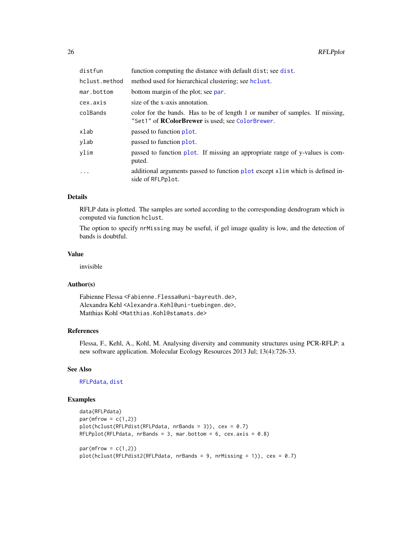<span id="page-25-0"></span>

| distfun       | function computing the distance with default dist; see dist.                                                                            |
|---------------|-----------------------------------------------------------------------------------------------------------------------------------------|
| hclust.method | method used for hierarchical clustering; see holust.                                                                                    |
| mar.bottom    | bottom margin of the plot; see par.                                                                                                     |
| cex.axis      | size of the x-axis annotation.                                                                                                          |
| colBands      | color for the bands. Has to be of length 1 or number of samples. If missing,<br>"Set1" of <b>RColorBrewer</b> is used; see ColorBrewer. |
| xlab          | passed to function plot.                                                                                                                |
| vlab          | passed to function plot.                                                                                                                |
| ylim          | passed to function plot. If missing an appropriate range of y-values is com-<br>puted.                                                  |
| $\cdots$      | additional arguments passed to function plot except xlim which is defined in-<br>side of RFLPplot.                                      |

### Details

RFLP data is plotted. The samples are sorted according to the corresponding dendrogram which is computed via function hclust.

The option to specify nrMissing may be useful, if gel image quality is low, and the detection of bands is doubtful.

#### Value

invisible

### Author(s)

Fabienne Flessa <Fabienne.Flessa@uni-bayreuth.de>, Alexandra Kehl <Alexandra.Kehl@uni-tuebingen.de>, Matthias Kohl <Matthias.Kohl@stamats.de>

### References

Flessa, F., Kehl, A., Kohl, M. Analysing diversity and community structures using PCR-RFLP: a new software application. Molecular Ecology Resources 2013 Jul; 13(4):726-33.

#### See Also

[RFLPdata](#page-16-1), [dist](#page-0-0)

```
data(RFLPdata)
par(mfrow = c(1,2))plot(hclust(RFLPdist(RFLPdata, nrBands = 3)), cex = 0.7)
RFLPplot(RFLPdata, nrBands = 3, mar.bottom = 6, cex.axis = 0.8)
par(mfrow = c(1,2))plot(hclust(RFLPdist2(RFLPdata, nrBands = 9, nrMissing = 1)), cex = 0.7)
```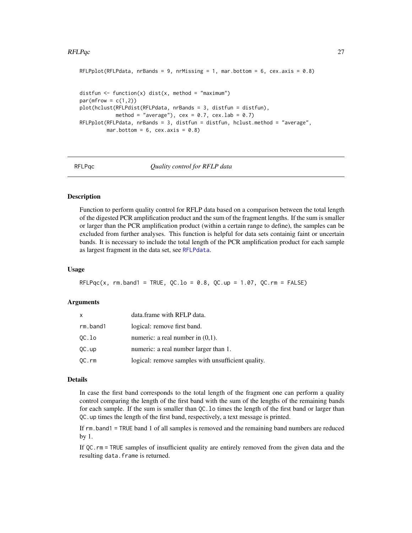#### <span id="page-26-0"></span>RFLPqc 27

```
RFLPplot(RFLPdata, nrBands = 9, nrMissing = 1, mar.bottom = 6, cex.axis = 0.8)
distfun \leq function(x) dist(x, method = "maximum")
par(mfrow = c(1,2))plot(hclust(RFLPdist(RFLPdata, nrBands = 3, distfun = distfun),
            method = "average"), cex = 0.7, cexu. lab = 0.7)
RFLPplot(RFLPdata, nrBands = 3, distfun = distfun, hclust.method = "average",
        mar.bottom = 6, cex.axis = 0.8)
```
### RFLPqc *Quality control for RFLP data*

### Description

Function to perform quality control for RFLP data based on a comparison between the total length of the digested PCR amplification product and the sum of the fragment lengths. If the sum is smaller or larger than the PCR amplification product (within a certain range to define), the samples can be excluded from further analyses. This function is helpful for data sets containig faint or uncertain bands. It is necessary to include the total length of the PCR amplification product for each sample as largest fragment in the data set, see [RFLPdata](#page-16-1).

#### Usage

 $RFLPqc(x, rm-band1 = TRUE, QC.lo = 0.8, QC.up = 1.07, QC.rm = FALSE)$ 

#### Arguments

| x        | data.frame with RFLP data.                         |
|----------|----------------------------------------------------|
| rm.band1 | logical: remove first band.                        |
| OC.lo    | numeric: a real number in $(0,1)$ .                |
| QC.up    | numeric: a real number larger than 1.              |
| QC.rm    | logical: remove samples with unsufficient quality. |

#### Details

In case the first band corresponds to the total length of the fragment one can perform a quality control comparing the length of the first band with the sum of the lengths of the remaining bands for each sample. If the sum is smaller than QC.lo times the length of the first band or larger than QC.up times the length of the first band, respectively, a text message is printed.

If rm.band1 = TRUE band 1 of all samples is removed and the remaining band numbers are reduced by 1.

If QC.rm = TRUE samples of insufficient quality are entirely removed from the given data and the resulting data.frame is returned.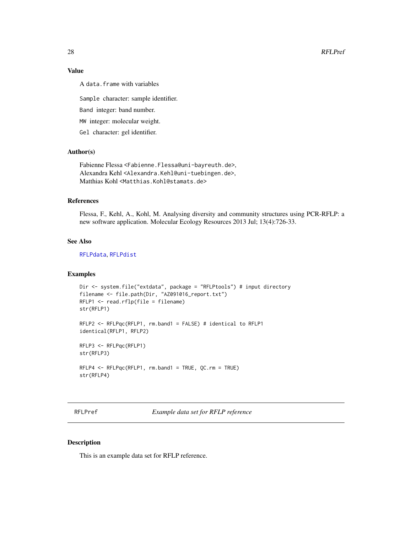### Value

A data.frame with variables

Sample character: sample identifier.

Band integer: band number.

MW integer: molecular weight.

Gel character: gel identifier.

### Author(s)

Fabienne Flessa <Fabienne.Flessa@uni-bayreuth.de>, Alexandra Kehl <Alexandra.Kehl@uni-tuebingen.de>, Matthias Kohl <Matthias.Kohl@stamats.de>

#### References

Flessa, F., Kehl, A., Kohl, M. Analysing diversity and community structures using PCR-RFLP: a new software application. Molecular Ecology Resources 2013 Jul; 13(4):726-33.

#### See Also

[RFLPdata](#page-16-1), [RFLPdist](#page-17-1)

### Examples

```
Dir <- system.file("extdata", package = "RFLPtools") # input directory
filename <- file.path(Dir, "AZ091016_report.txt")
RFLP1 <- read.rflp(file = filename)
str(RFLP1)
RFLP2 <- RFLPqc(RFLP1, rm.band1 = FALSE) # identical to RFLP1
identical(RFLP1, RFLP2)
RFLP3 <- RFLPqc(RFLP1)
str(RFLP3)
RFLP4 \leq RFLPqc(RFLP1, rm-band1 = TRUE, QC.rm = TRUE)str(RFLP4)
```
<span id="page-27-1"></span>RFLPref *Example data set for RFLP reference*

### Description

This is an example data set for RFLP reference.

<span id="page-27-0"></span>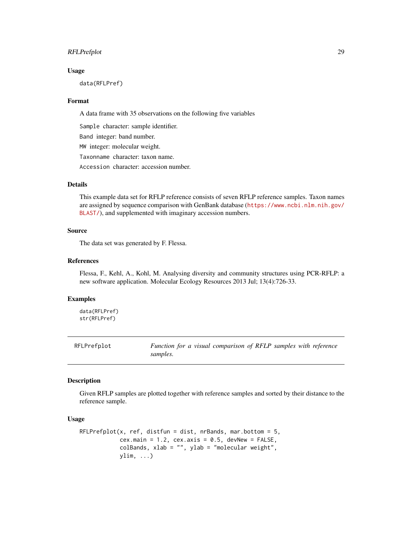### <span id="page-28-0"></span>RFLPrefplot 29

#### Usage

data(RFLPref)

#### Format

A data frame with 35 observations on the following five variables

Sample character: sample identifier.

Band integer: band number.

MW integer: molecular weight.

Taxonname character: taxon name.

Accession character: accession number.

### Details

This example data set for RFLP reference consists of seven RFLP reference samples. Taxon names are assigned by sequence comparison with GenBank database ([https://www.ncbi.nlm.nih.gov/](https://www.ncbi.nlm.nih.gov/BLAST/) [BLAST/](https://www.ncbi.nlm.nih.gov/BLAST/)), and supplemented with imaginary accession numbers.

#### Source

The data set was generated by F. Flessa.

#### References

Flessa, F., Kehl, A., Kohl, M. Analysing diversity and community structures using PCR-RFLP: a new software application. Molecular Ecology Resources 2013 Jul; 13(4):726-33.

#### Examples

data(RFLPref) str(RFLPref)

RFLPrefplot *Function for a visual comparison of RFLP samples with reference samples.*

### Description

Given RFLP samples are plotted together with reference samples and sorted by their distance to the reference sample.

#### Usage

```
RFLPrefix(x, ref, distfun = dist, nrBands, mar.bottom = 5,cex.main = 1.2, cex.axis = 0.5, devNew = FALSE,
           colBands, xlab = "", ylab = "molecular weight",
           ylim, ...)
```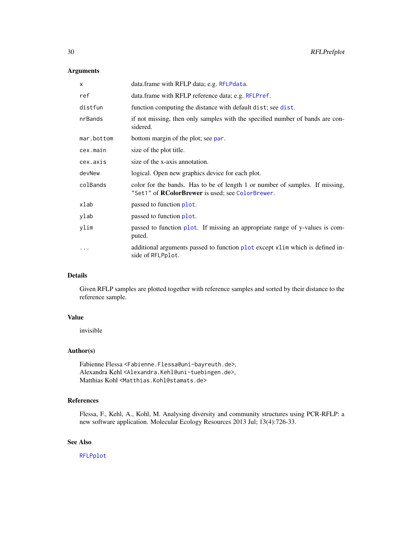### <span id="page-29-0"></span>Arguments

| X          | data.frame with RFLP data; e.g. RFLPdata.                                                                                               |
|------------|-----------------------------------------------------------------------------------------------------------------------------------------|
| ref        | data.frame with RFLP reference data; e.g. RFLPref.                                                                                      |
| distfun    | function computing the distance with default dist; see dist.                                                                            |
| nrBands    | if not missing, then only samples with the specified number of bands are con-<br>sidered.                                               |
| mar.bottom | bottom margin of the plot; see par.                                                                                                     |
| cex.main   | size of the plot title.                                                                                                                 |
| cex.axis   | size of the x-axis annotation.                                                                                                          |
| devNew     | logical. Open new graphics device for each plot.                                                                                        |
| colBands   | color for the bands. Has to be of length 1 or number of samples. If missing,<br>"Set1" of <b>RColorBrewer</b> is used; see ColorBrewer. |
| xlab       | passed to function plot.                                                                                                                |
| ylab       | passed to function plot.                                                                                                                |
| ylim       | passed to function plot. If missing an appropriate range of y-values is com-<br>puted.                                                  |
| $\cdots$   | additional arguments passed to function plot except xlim which is defined in-<br>side of RFLPplot.                                      |

### Details

Given RFLP samples are plotted together with reference samples and sorted by their distance to the reference sample.

### Value

invisible

### Author(s)

Fabienne Flessa <Fabienne.Flessa@uni-bayreuth.de>, Alexandra Kehl <Alexandra.Kehl@uni-tuebingen.de>, Matthias Kohl <Matthias.Kohl@stamats.de>

### References

Flessa, F., Kehl, A., Kohl, M. Analysing diversity and community structures using PCR-RFLP: a new software application. Molecular Ecology Resources 2013 Jul; 13(4):726-33.

### See Also

[RFLPplot](#page-24-1)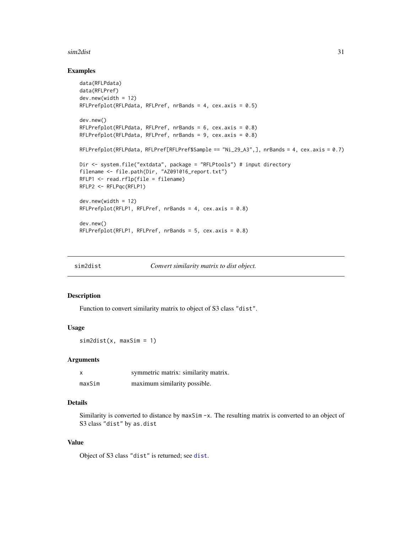#### <span id="page-30-0"></span>sim2dist 31

#### Examples

```
data(RFLPdata)
data(RFLPref)
dev.new(width = 12)
RFLPrefplot(RFLPdata, RFLPref, nrBands = 4, cex.axis = 0.5)
dev.new()
RFLPrefplot(RFLPdata, RFLPref, nrBands = 6, cex.axis = 0.8)
RFLPrefplot(RFLPdata, RFLPref, nrBands = 9, cex.axis = 0.8)
RFLPrefplot(RFLPdata, RFLPref[RFLPref$Sample == "Ni_29_A3",], nrBands = 4, cex.axis = 0.7)
Dir <- system.file("extdata", package = "RFLPtools") # input directory
filename <- file.path(Dir, "AZ091016_report.txt")
RFLP1 <- read.rflp(file = filename)
RFLP2 <- RFLPqc(RFLP1)
dev.new(width = 12)
RFLPrefplot(RFLP1, RFLPref, nrBands = 4, cex.axis = 0.8)
dev.new()
RFLPrefplot(RFLP1, RFLPref, nrBands = 5, cex.axis = 0.8)
```
<span id="page-30-1"></span>

sim2dist *Convert similarity matrix to dist object.*

### Description

Function to convert similarity matrix to object of S3 class "dist".

#### Usage

 $sim2dist(x, maxSim = 1)$ 

#### Arguments

| х      | symmetric matrix: similarity matrix. |
|--------|--------------------------------------|
| maxSim | maximum similarity possible.         |

### Details

Similarity is converted to distance by  $maxSim -x$ . The resulting matrix is converted to an object of S3 class "dist" by as.dist

#### Value

Object of S3 class "dist" is returned; see [dist](#page-0-0).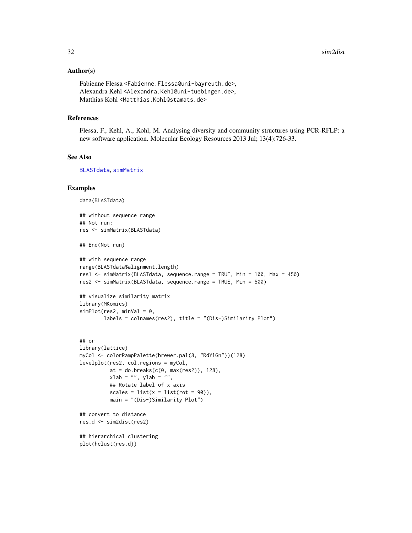#### <span id="page-31-0"></span>Author(s)

```
Fabienne Flessa <Fabienne.Flessa@uni-bayreuth.de>,
Alexandra Kehl <Alexandra.Kehl@uni-tuebingen.de>,
Matthias Kohl <Matthias.Kohl@stamats.de>
```
### References

Flessa, F., Kehl, A., Kohl, M. Analysing diversity and community structures using PCR-RFLP: a new software application. Molecular Ecology Resources 2013 Jul; 13(4):726-33.

#### See Also

[BLASTdata](#page-3-1), [simMatrix](#page-32-1)

#### Examples

data(BLASTdata)

```
## without sequence range
## Not run:
res <- simMatrix(BLASTdata)
## End(Not run)
## with sequence range
range(BLASTdata$alignment.length)
res1 <- simMatrix(BLASTdata, sequence.range = TRUE, Min = 100, Max = 450)
res2 <- simMatrix(BLASTdata, sequence.range = TRUE, Min = 500)
## visualize similarity matrix
library(MKomics)
simPlot(res2, minVal = 0,labels = colnames(res2), title = "(Dis-)Similarity Plot")
## or
library(lattice)
myCol <- colorRampPalette(brewer.pal(8, "RdYlGn"))(128)
levelplot(res2, col.regions = myCol,
          at = do.breaks(c(0, max(res2)), 128),xlab = "", ylab = "",## Rotate label of x axis
          scales = list(x = list(root = 90)),main = "(Dis-)Similarity Plot")
## convert to distance
res.d <- sim2dist(res2)
## hierarchical clustering
```
plot(hclust(res.d))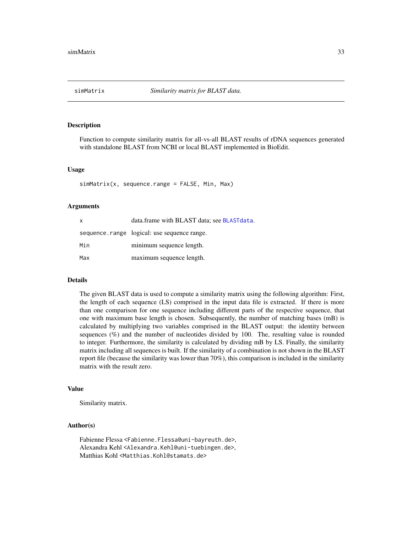<span id="page-32-1"></span><span id="page-32-0"></span>

Function to compute similarity matrix for all-vs-all BLAST results of rDNA sequences generated with standalone BLAST from NCBI or local BLAST implemented in BioEdit.

#### Usage

simMatrix(x, sequence.range = FALSE, Min, Max)

### Arguments

| X   | data.frame with BLAST data; see BLAST data. |
|-----|---------------------------------------------|
|     | sequence.range logical: use sequence range. |
| Min | minimum sequence length.                    |
| Max | maximum sequence length.                    |

#### Details

The given BLAST data is used to compute a similarity matrix using the following algorithm: First, the length of each sequence (LS) comprised in the input data file is extracted. If there is more than one comparison for one sequence including different parts of the respective sequence, that one with maximum base length is chosen. Subsequently, the number of matching bases (mB) is calculated by multiplying two variables comprised in the BLAST output: the identity between sequences  $(\%)$  and the number of nucleotides divided by 100. The, resulting value is rounded to integer. Furthermore, the similarity is calculated by dividing mB by LS. Finally, the similarity matrix including all sequences is built. If the similarity of a combination is not shown in the BLAST report file (because the similarity was lower than 70%), this comparison is included in the similarity matrix with the result zero.

#### Value

Similarity matrix.

#### Author(s)

Fabienne Flessa <Fabienne.Flessa@uni-bayreuth.de>, Alexandra Kehl <Alexandra.Kehl@uni-tuebingen.de>, Matthias Kohl <Matthias.Kohl@stamats.de>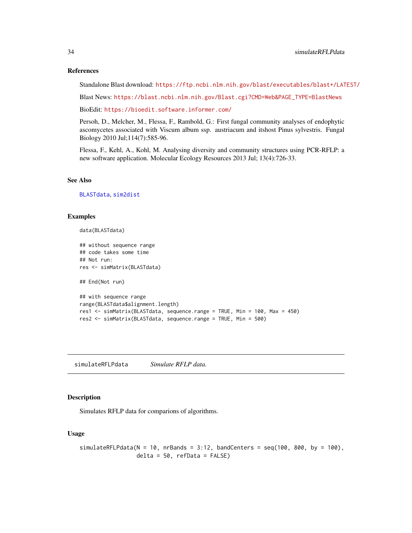#### References

Standalone Blast download: <https://ftp.ncbi.nlm.nih.gov/blast/executables/blast+/LATEST/>

Blast News: [https://blast.ncbi.nlm.nih.gov/Blast.cgi?CMD=Web&PAGE\\_TYPE=BlastNews](https://blast.ncbi.nlm.nih.gov/Blast.cgi?CMD=Web&PAGE_TYPE=BlastNews)

BioEdit: <https://bioedit.software.informer.com/>

Persoh, D., Melcher, M., Flessa, F., Rambold, G.: First fungal community analyses of endophytic ascomycetes associated with Viscum album ssp. austriacum and itshost Pinus sylvestris. Fungal Biology 2010 Jul;114(7):585-96.

Flessa, F., Kehl, A., Kohl, M. Analysing diversity and community structures using PCR-RFLP: a new software application. Molecular Ecology Resources 2013 Jul; 13(4):726-33.

#### See Also

[BLASTdata](#page-3-1), [sim2dist](#page-30-1)

#### Examples

```
data(BLASTdata)
```

```
## without sequence range
## code takes some time
## Not run:
res <- simMatrix(BLASTdata)
## End(Not run)
## with sequence range
range(BLASTdata$alignment.length)
res1 <- simMatrix(BLASTdata, sequence.range = TRUE, Min = 100, Max = 450)
res2 <- simMatrix(BLASTdata, sequence.range = TRUE, Min = 500)
```
simulateRFLPdata *Simulate RFLP data.*

#### Description

Simulates RFLP data for comparions of algorithms.

#### Usage

```
simulateRFLPdata(N = 10, nrBands = 3:12, bandCenters = seq(100, 800, by = 100),
                delta = 50, refData = FALSE)
```
<span id="page-33-0"></span>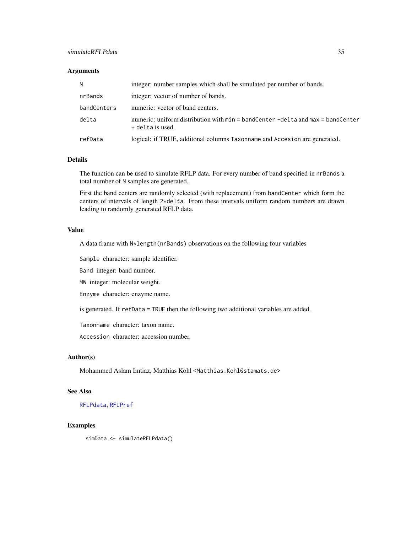### <span id="page-34-0"></span>simulateRFLPdata 35

### Arguments

| N           | integer: number samples which shall be simulated per number of bands.                               |
|-------------|-----------------------------------------------------------------------------------------------------|
| nrBands     | integer: vector of number of bands.                                                                 |
| bandCenters | numeric: vector of band centers.                                                                    |
| delta       | numeric: uniform distribution with min = bandCenter -delta and max = bandCenter<br>+ delta is used. |
| refData     | logical: if TRUE, additonal columns Taxonname and Accesion are generated.                           |

### Details

The function can be used to simulate RFLP data. For every number of band specified in nrBands a total number of N samples are generated.

First the band centers are randomly selected (with replacement) from bandCenter which form the centers of intervals of length 2\*delta. From these intervals uniform random numbers are drawn leading to randomly generated RFLP data.

### Value

A data frame with N\*length(nrBands) observations on the following four variables

Sample character: sample identifier.

Band integer: band number.

MW integer: molecular weight.

Enzyme character: enzyme name.

is generated. If refData = TRUE then the following two additional variables are added.

Taxonname character: taxon name.

Accession character: accession number.

#### Author(s)

Mohammed Aslam Imtiaz, Matthias Kohl <Matthias.Kohl@stamats.de>

#### See Also

[RFLPdata](#page-16-1), [RFLPref](#page-27-1)

### Examples

simData <- simulateRFLPdata()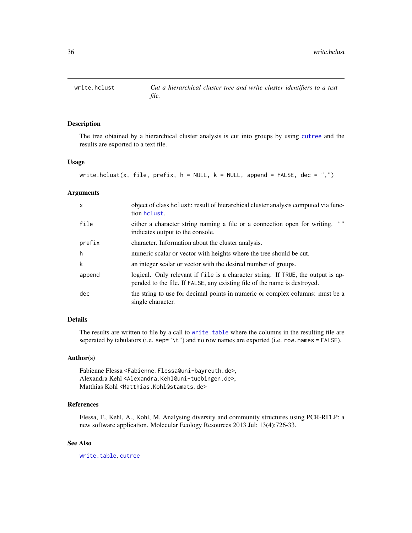<span id="page-35-0"></span>write.hclust *Cut a hierarchical cluster tree and write cluster identifiers to a text file.*

#### Description

The tree obtained by a hierarchical cluster analysis is cut into groups by using [cutree](#page-0-0) and the results are exported to a text file.

### Usage

```
write.hclust(x, file, prefix, h = NULL, k = NULL, append = FALSE, dec = ",")
```
#### Arguments

| $\mathsf{x}$ | object of class heliust: result of hierarchical cluster analysis computed via func-<br>tion holust.                                                           |
|--------------|---------------------------------------------------------------------------------------------------------------------------------------------------------------|
| file         | 1111<br>either a character string naming a file or a connection open for writing.<br>indicates output to the console.                                         |
| prefix       | character. Information about the cluster analysis.                                                                                                            |
| h            | numeric scalar or vector with heights where the tree should be cut.                                                                                           |
| k            | an integer scalar or vector with the desired number of groups.                                                                                                |
| append       | logical. Only relevant if file is a character string. If TRUE, the output is ap-<br>pended to the file. If FALSE, any existing file of the name is destroyed. |
| dec          | the string to use for decimal points in numeric or complex columns: must be a<br>single character.                                                            |

### Details

The results are written to file by a call to [write.table](#page-0-0) where the columns in the resulting file are seperated by tabulators (i.e. sep="\t") and no row names are exported (i.e. row.names = FALSE).

#### Author(s)

Fabienne Flessa <Fabienne.Flessa@uni-bayreuth.de>, Alexandra Kehl <Alexandra.Kehl@uni-tuebingen.de>, Matthias Kohl <Matthias.Kohl@stamats.de>

### References

Flessa, F., Kehl, A., Kohl, M. Analysing diversity and community structures using PCR-RFLP: a new software application. Molecular Ecology Resources 2013 Jul; 13(4):726-33.

### See Also

[write.table](#page-0-0), [cutree](#page-0-0)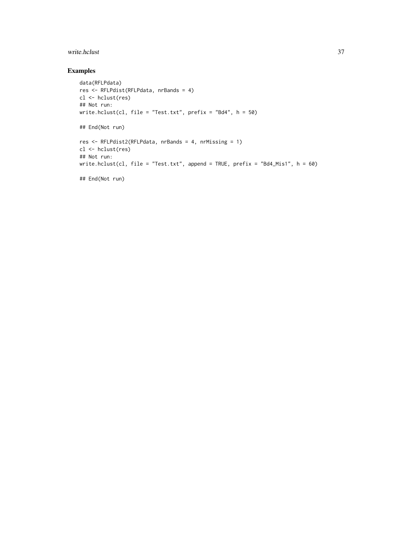#### write.hclust 37

```
data(RFLPdata)
res <- RFLPdist(RFLPdata, nrBands = 4)
cl <- hclust(res)
## Not run:
write.hclust(cl, file = "Test.txt", prefix = "Bd4", h = 50)
## End(Not run)
res <- RFLPdist2(RFLPdata, nrBands = 4, nrMissing = 1)
cl <- hclust(res)
## Not run:
write.hclust(cl, file = "Test.txt", append = TRUE, prefix = "Bd4_Mis1", h = 60)
## End(Not run)
```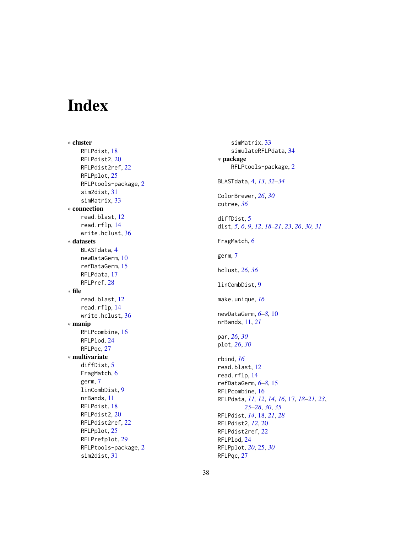## <span id="page-37-0"></span>Index

∗ cluster RFLPdist , [18](#page-17-0) RFLPdist2 , [20](#page-19-0) RFLPdist2ref , [22](#page-21-0) RFLPplot , [25](#page-24-0) RFLPtools-package , [2](#page-1-0) sim2dist , [31](#page-30-0) simMatrix , [33](#page-32-0) ∗ connection read.blast , [12](#page-11-0) read.rflp , [14](#page-13-0) write.hclust , [36](#page-35-0) ∗ datasets BLASTdata, [4](#page-3-0) newDataGerm , [10](#page-9-0) refDataGerm , [15](#page-14-0) RFLPdata , [17](#page-16-0) RFLPref , [28](#page-27-0) ∗ file read.blast , [12](#page-11-0) read.rflp , [14](#page-13-0) write.hclust, [36](#page-35-0) ∗ manip RFLPcombine , [16](#page-15-0) RFLPlod , [24](#page-23-0) RFLPqc , [27](#page-26-0) ∗ multivariate diffDist , [5](#page-4-0) FragMatch, [6](#page-5-0) germ , [7](#page-6-0) linCombDist , [9](#page-8-0) nrBands , [11](#page-10-0) RFLPdist , [18](#page-17-0) RFLPdist2 , [20](#page-19-0) RFLPdist2ref , [22](#page-21-0) RFLPplot , [25](#page-24-0) RFLPrefplot , [29](#page-28-0) RFLPtools-package , [2](#page-1-0) sim2dist , [31](#page-30-0)

simMatrix , [33](#page-32-0) simulateRFLPdata , [34](#page-33-0) ∗ package RFLPtools-package , [2](#page-1-0) BLASTdata , [4](#page-3-0) , *[13](#page-12-0)* , *[32](#page-31-0) [–34](#page-33-0)* ColorBrewer , *[26](#page-25-0)* , *[30](#page-29-0)* cutree , *[36](#page-35-0)* diffDist , [5](#page-4-0) dist , *[5](#page-4-0) , [6](#page-5-0)* , *[9](#page-8-0)* , *[12](#page-11-0)* , *[18](#page-17-0) [–21](#page-20-0)* , *[23](#page-22-0)* , *[26](#page-25-0)* , *[30](#page-29-0) , [31](#page-30-0)* FragMatch , [6](#page-5-0) germ , [7](#page-6-0) hclust , *[26](#page-25-0)* , *[36](#page-35-0)* linCombDist , [9](#page-8-0) make.unique , *[16](#page-15-0)* newDataGerm , *[6–](#page-5-0) [8](#page-7-0)* , [10](#page-9-0) nrBands , [11](#page-10-0) , *[21](#page-20-0)* par , *[26](#page-25-0)* , *[30](#page-29-0)* plot , *[26](#page-25-0)* , *[30](#page-29-0)* rbind , *[16](#page-15-0)* read.blast , [12](#page-11-0) read.rflp , [14](#page-13-0) refDataGerm , *[6–](#page-5-0) [8](#page-7-0)* , [15](#page-14-0) RFLPcombine , [16](#page-15-0) RFLPdata , *[11](#page-10-0) , [12](#page-11-0)* , *[14](#page-13-0)* , *[16](#page-15-0)* , [17](#page-16-0) , *[18](#page-17-0) [–21](#page-20-0)* , *[23](#page-22-0)* , *[25](#page-24-0) [–28](#page-27-0)* , *[30](#page-29-0)* , *[35](#page-34-0)* RFLPdist , *[14](#page-13-0)* , [18](#page-17-0) , *[21](#page-20-0)* , *[28](#page-27-0)* RFLPdist2 , *[12](#page-11-0)* , [20](#page-19-0) RFLPdist2ref , [22](#page-21-0) RFLPlod , [24](#page-23-0) RFLPplot , *[20](#page-19-0)* , [25](#page-24-0) , *[30](#page-29-0)* RFLPqc , [27](#page-26-0)